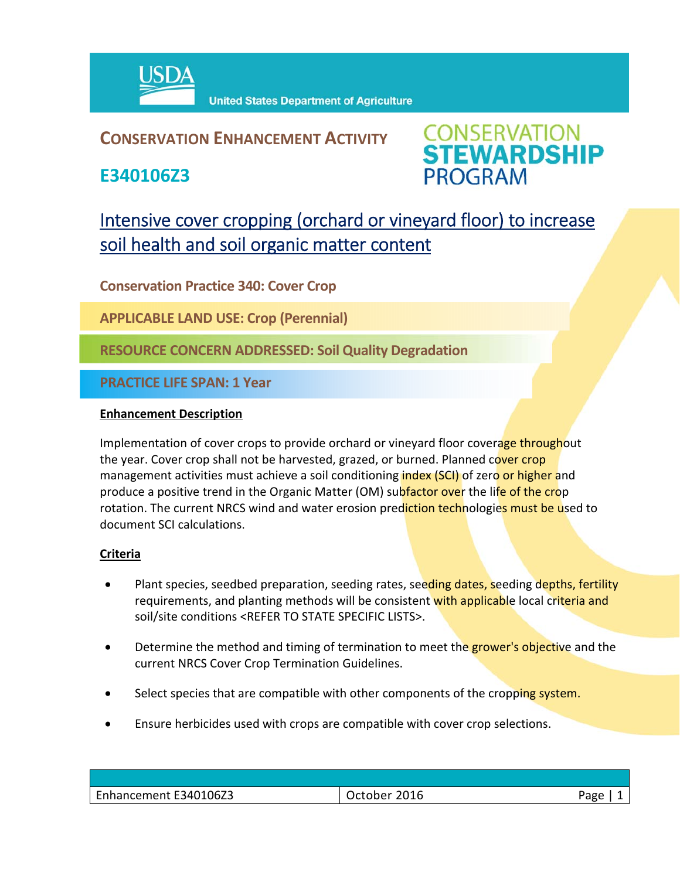

### **CONSERVATION ENHANCEMENT ACTIVITY**

**E340106Z3**



## Intensive cover cropping (orchard or vineyard floor) to increase soil health and soil organic matter content

**Conservation Practice 340: Cover Crop**

**APPLICABLE LAND USE: Crop (Perennial)**

**RESOURCE CONCERN ADDRESSED: Soil Quality Degradation**

**PRACTICE LIFE SPAN: 1 Year**

#### **Enhancement Description**

Implementation of cover crops to provide orchard or vineyard floor coverage throughout the year. Cover crop shall not be harvested, grazed, or burned. Planned cover crop management activities must achieve a soil conditioning *index (SCI)* of zero or higher and produce a positive trend in the Organic Matter (OM) subfactor over the life of the crop rotation. The current NRCS wind and water erosion prediction technologies must be used to document SCI calculations.

#### **Criteria**

- Plant species, seedbed preparation, seeding rates, seeding dates, seeding depths, fertility requirements, and planting methods will be consistent with applicable local criteria and soil/site conditions <REFER TO STATE SPECIFIC LISTS>.
- Determine the method and timing of termination to meet the grower's objective and the current NRCS Cover Crop Termination Guidelines.
- Select species that are compatible with other components of the cropping system.
- Ensure herbicides used with crops are compatible with cover crop selections.

| Enhancement E340106Z3 | 2016<br>ctober. | Page<br>- פי |
|-----------------------|-----------------|--------------|